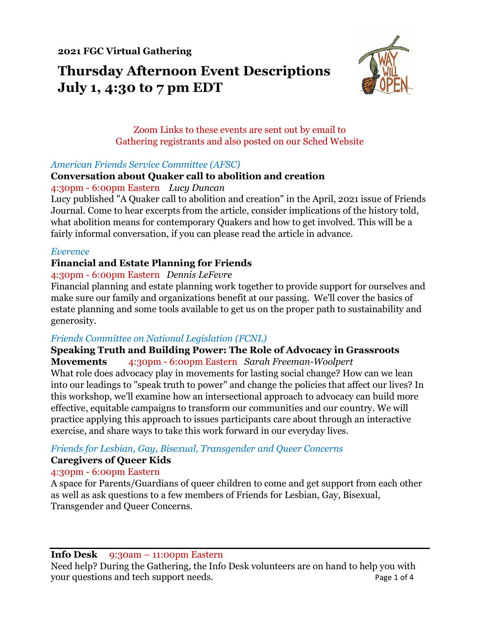**2021 FGC Virtual Gathering**

# **Thursday Afternoon Event Descriptions July 1, 4:30 to 7 pm EDT**



### Zoom Links to these events are sent out by email to Gathering registrants and also posted on our Sched Website

### *American Friends Service Committee (AFSC)*

## **Conversation about Quaker call to abolition and creation**

#### 4:30pm - 6:00pm Eastern *Lucy Duncan*

Lucy published "A Quaker call to abolition and creation" in the April, 2021 issue of Friends Journal. Come to hear excerpts from the article, consider implications of the history told, what abolition means for contemporary Quakers and how to get involved. This will be a fairly informal conversation, if you can please read the article in advance.

#### *Everence*

## **Financial and Estate Planning for Friends**

#### 4:30pm - 6:00pm Eastern *Dennis LeFevre*

Financial planning and estate planning work together to provide support for ourselves and make sure our family and organizations benefit at our passing. We'll cover the basics of estate planning and some tools available to get us on the proper path to sustainability and generosity.

## *Friends Committee on National Legislation (FCNL)*

**Speaking Truth and Building Power: The Role of Advocacy in Grassroots Movements** 4:30pm - 6:00pm Eastern *Sarah Freeman-Woolpert* What role does advocacy play in movements for lasting social change? How can we lean into our leadings to "speak truth to power" and change the policies that affect our lives? In this workshop, we'll examine how an intersectional approach to advocacy can build more effective, equitable campaigns to transform our communities and our country. We will practice applying this approach to issues participants care about through an interactive exercise, and share ways to take this work forward in our everyday lives.

## *Friends for Lesbian, Gay, Bisexual, Transgender and Queer Concerns*

## **Caregivers of Queer Kids**

## 4:30pm - 6:00pm Eastern

A space for Parents/Guardians of queer children to come and get support from each other as well as ask questions to a few members of Friends for Lesbian, Gay, Bisexual, Transgender and Queer Concerns.

#### **Info Desk** 9:30am – 11:00pm Eastern

Need help? During the Gathering, the Info Desk volunteers are on hand to help you with your questions and tech support needs. Page 1 of 4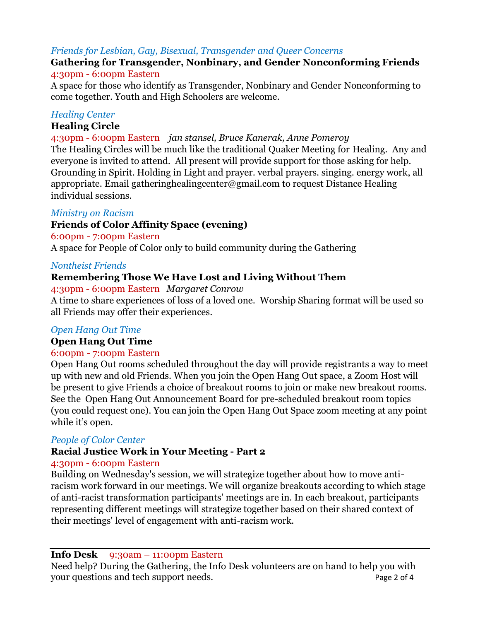#### *Friends for Lesbian, Gay, Bisexual, Transgender and Queer Concerns*

#### **Gathering for Transgender, Nonbinary, and Gender Nonconforming Friends** 4:30pm - 6:00pm Eastern

A space for those who identify as Transgender, Nonbinary and Gender Nonconforming to come together. Youth and High Schoolers are welcome.

## *Healing Center*

#### **Healing Circle**

4:30pm - 6:00pm Eastern *jan stansel, Bruce Kanerak, Anne Pomeroy* The Healing Circles will be much like the traditional Quaker Meeting for Healing. Any and everyone is invited to attend. All present will provide support for those asking for help. Grounding in Spirit. Holding in Light and prayer. verbal prayers. singing. energy work, all appropriate. Email gatheringhealingcenter@gmail.com to request Distance Healing individual sessions.

#### *Ministry on Racism*

#### **Friends of Color Affinity Space (evening)**

#### 6:00pm - 7:00pm Eastern

A space for People of Color only to build community during the Gathering

#### *Nontheist Friends*

## **Remembering Those We Have Lost and Living Without Them**

#### 4:30pm - 6:00pm Eastern *Margaret Conrow*

A time to share experiences of loss of a loved one. Worship Sharing format will be used so all Friends may offer their experiences.

#### *Open Hang Out Time*

#### **Open Hang Out Time**

#### 6:00pm - 7:00pm Eastern

Open Hang Out rooms scheduled throughout the day will provide registrants a way to meet up with new and old Friends. When you join the Open Hang Out space, a Zoom Host will be present to give Friends a choice of breakout rooms to join or make new breakout rooms. See the Open Hang Out Announcement Board for pre-scheduled breakout room topics (you could request one). You can join the Open Hang Out Space zoom meeting at any point while it's open.

#### *People of Color Center*

#### **Racial Justice Work in Your Meeting - Part 2**

#### 4:30pm - 6:00pm Eastern

Building on Wednesday's session, we will strategize together about how to move antiracism work forward in our meetings. We will organize breakouts according to which stage of anti-racist transformation participants' meetings are in. In each breakout, participants representing different meetings will strategize together based on their shared context of their meetings' level of engagement with anti-racism work.

#### **Info Desk** 9:30am – 11:00pm Eastern

Need help? During the Gathering, the Info Desk volunteers are on hand to help you with your questions and tech support needs. Page 2 of 4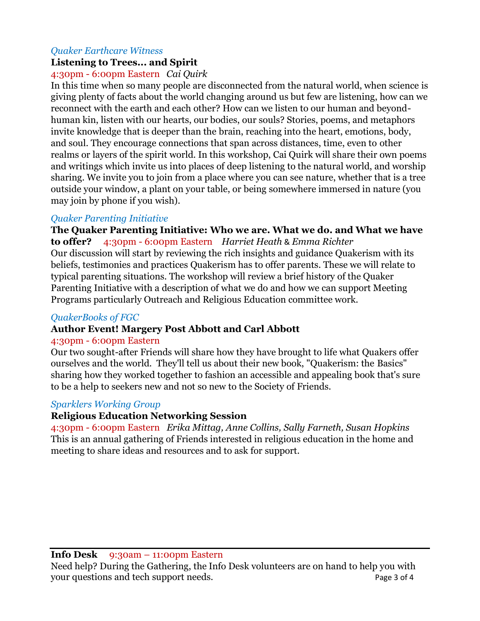## *Quaker Earthcare Witness*

## **Listening to Trees... and Spirit**

4:30pm - 6:00pm Eastern *Cai Quirk*

In this time when so many people are disconnected from the natural world, when science is giving plenty of facts about the world changing around us but few are listening, how can we reconnect with the earth and each other? How can we listen to our human and beyondhuman kin, listen with our hearts, our bodies, our souls? Stories, poems, and metaphors invite knowledge that is deeper than the brain, reaching into the heart, emotions, body, and soul. They encourage connections that span across distances, time, even to other realms or layers of the spirit world. In this workshop, Cai Quirk will share their own poems and writings which invite us into places of deep listening to the natural world, and worship sharing. We invite you to join from a place where you can see nature, whether that is a tree outside your window, a plant on your table, or being somewhere immersed in nature (you may join by phone if you wish).

#### *Quaker Parenting Initiative*

**The Quaker Parenting Initiative: Who we are. What we do. and What we have to offer?** 4:30pm - 6:00pm Eastern *Harriet Heath* & *Emma Richter* Our discussion will start by reviewing the rich insights and guidance Quakerism with its beliefs, testimonies and practices Quakerism has to offer parents. These we will relate to typical parenting situations. The workshop will review a brief history of the Quaker Parenting Initiative with a description of what we do and how we can support Meeting Programs particularly Outreach and Religious Education committee work.

#### *QuakerBooks of FGC*

## **Author Event! Margery Post Abbott and Carl Abbott**

#### 4:30pm - 6:00pm Eastern

Our two sought-after Friends will share how they have brought to life what Quakers offer ourselves and the world. They'll tell us about their new book, "Quakerism: the Basics" sharing how they worked together to fashion an accessible and appealing book that's sure to be a help to seekers new and not so new to the Society of Friends.

## *Sparklers Working Group*

## **Religious Education Networking Session**

4:30pm - 6:00pm Eastern *Erika Mittag, Anne Collins, Sally Farneth, Susan Hopkins* This is an annual gathering of Friends interested in religious education in the home and meeting to share ideas and resources and to ask for support.

#### **Info Desk** 9:30am – 11:00pm Eastern

Need help? During the Gathering, the Info Desk volunteers are on hand to help you with your questions and tech support needs. Page 3 of 4